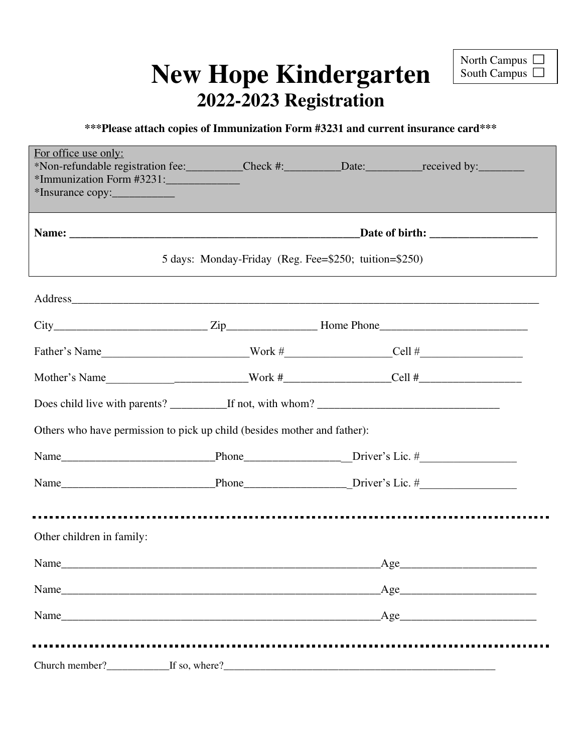# **New Hope Kindergarten 2022-2023 Registration**

## **\*\*\*Please attach copies of Immunization Form #3231 and current insurance card\*\*\***

| For office use only:<br>*Non-refundable registration fee: Check #: Date: ________________________________<br>*Immunization Form #3231:<br>*Insurance copy:                                                                     |                                                       |     |
|--------------------------------------------------------------------------------------------------------------------------------------------------------------------------------------------------------------------------------|-------------------------------------------------------|-----|
|                                                                                                                                                                                                                                |                                                       |     |
|                                                                                                                                                                                                                                | 5 days: Monday-Friday (Reg. Fee=\$250; tuition=\$250) |     |
| Address and the contract of the contract of the contract of the contract of the contract of the contract of the contract of the contract of the contract of the contract of the contract of the contract of the contract of th |                                                       |     |
|                                                                                                                                                                                                                                |                                                       |     |
| Father's Name $\qquad \qquad \text{Work #} \qquad \qquad \text{Cell #}$                                                                                                                                                        |                                                       |     |
| Mother's Name_______________________________Work #______________________Cell #______________________                                                                                                                           |                                                       |     |
|                                                                                                                                                                                                                                |                                                       |     |
| Others who have permission to pick up child (besides mother and father):                                                                                                                                                       |                                                       |     |
|                                                                                                                                                                                                                                |                                                       |     |
|                                                                                                                                                                                                                                |                                                       |     |
|                                                                                                                                                                                                                                |                                                       |     |
| Other children in family:                                                                                                                                                                                                      |                                                       |     |
|                                                                                                                                                                                                                                |                                                       | Age |
| Name                                                                                                                                                                                                                           |                                                       | Age |
|                                                                                                                                                                                                                                |                                                       | Age |
|                                                                                                                                                                                                                                |                                                       |     |
|                                                                                                                                                                                                                                |                                                       |     |